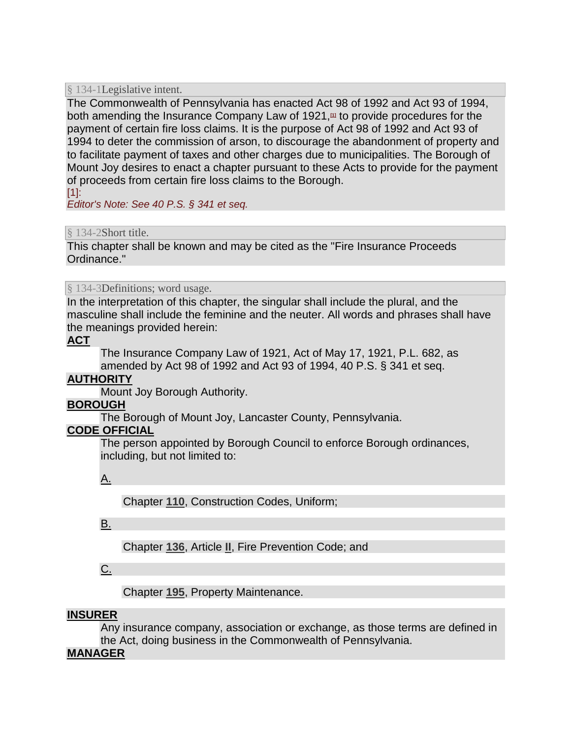#### § 134-1Legislative intent.

The Commonwealth of Pennsylvania has enacted Act 98 of 1992 and Act 93 of 1994, both amending the Insurance Company Law of 1921,**[\[1\]](http://ecode360.com/15434912#ft15434914-1)** to provide procedures for the payment of certain fire loss claims. It is the purpose of Act 98 of 1992 and Act 93 of 1994 to deter the commission of arson, to discourage the abandonment of property and to facilitate payment of taxes and other charges due to municipalities. The Borough of Mount Joy desires to enact a chapter pursuant to these Acts to provide for the payment of proceeds from certain fire loss claims to the Borough.

 $[1]$ :

*Editor's Note: See 40 P.S. § 341 et seq.*

#### [§ 134-2Short title.](http://ecode360.com/15434912#15434915)

This chapter shall be known and may be cited as the "Fire Insurance Proceeds Ordinance."

§ 134-3Definitions; word usage.

In the interpretation of this chapter, the singular shall include the plural, and the masculine shall include the feminine and the neuter. All words and phrases shall have the meanings provided herein:

#### **[ACT](http://ecode360.com/15434917#15434917)**

The Insurance Company Law of 1921, Act of May 17, 1921, P.L. 682, as amended by Act 98 of 1992 and Act 93 of 1994, 40 P.S. § 341 et seq.

## **[AUTHORITY](http://ecode360.com/15434918#15434918)**

Mount Joy Borough Authority.

## **[BOROUGH](http://ecode360.com/15434919#15434919)**

The Borough of Mount Joy, Lancaster County, Pennsylvania.

## **[CODE OFFICIAL](http://ecode360.com/15434920#15434920)**

The person appointed by Borough Council to enforce Borough ordinances, including, but not limited to:

[A.](http://ecode360.com/15504931#15504931) 

Chapter **[110](http://ecode360.com/15434612#15434612)**, Construction Codes, Uniform;

## [B.](http://ecode360.com/15504932#15504932)

Chapter **[136](http://ecode360.com/15434736#15434736)**, Article **[II](http://ecode360.com/15434754#15434754)**, Fire Prevention Code; and

# [C.](http://ecode360.com/15504933#15504933)

Chapter **[195](http://ecode360.com/15435117#15435117)**, Property Maintenance.

## **[INSURER](http://ecode360.com/15434921#15434921)**

Any insurance company, association or exchange, as those terms are defined in the Act, doing business in the Commonwealth of Pennsylvania.

## **[MANAGER](http://ecode360.com/15434922#15434922)**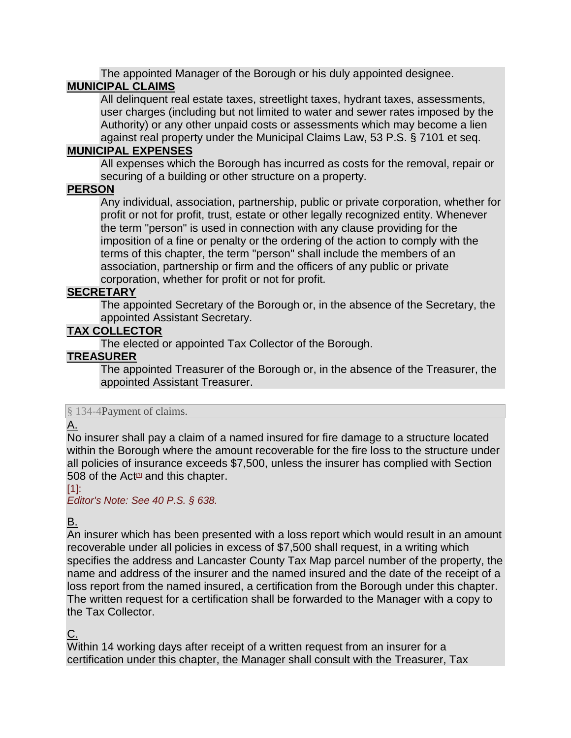The appointed Manager of the Borough or his duly appointed designee. **[MUNICIPAL CLAIMS](http://ecode360.com/15434923#15434923)**

All delinquent real estate taxes, streetlight taxes, hydrant taxes, assessments, user charges (including but not limited to water and sewer rates imposed by the Authority) or any other unpaid costs or assessments which may become a lien against real property under the Municipal Claims Law, 53 P.S. § 7101 et seq.

#### **[MUNICIPAL EXPENSES](http://ecode360.com/15434924#15434924)**

All expenses which the Borough has incurred as costs for the removal, repair or securing of a building or other structure on a property.

#### **[PERSON](http://ecode360.com/15434925#15434925)**

Any individual, association, partnership, public or private corporation, whether for profit or not for profit, trust, estate or other legally recognized entity. Whenever the term "person" is used in connection with any clause providing for the imposition of a fine or penalty or the ordering of the action to comply with the terms of this chapter, the term "person" shall include the members of an association, partnership or firm and the officers of any public or private corporation, whether for profit or not for profit.

## **[SECRETARY](http://ecode360.com/15434926#15434926)**

The appointed Secretary of the Borough or, in the absence of the Secretary, the appointed Assistant Secretary.

## **[TAX COLLECTOR](http://ecode360.com/15434927#15434927)**

The elected or appointed Tax Collector of the Borough.

#### **[TREASURER](http://ecode360.com/15434928#15434928)**

The appointed Treasurer of the Borough or, in the absence of the Treasurer, the appointed Assistant Treasurer.

#### [§ 134-4Payment of claims.](http://ecode360.com/15434912#15434929)

## [A.](http://ecode360.com/15434930#15434930)

No insurer shall pay a claim of a named insured for fire damage to a structure located within the Borough where the amount recoverable for the fire loss to the structure under all policies of insurance exceeds \$7,500, unless the insurer has complied with Section 508 of the Act**[\[1\]](http://ecode360.com/15434912#ft15434930-1)** and this chapter.

#### $[1]$ :

*Editor's Note: See 40 P.S. § 638.*

# [B.](http://ecode360.com/15434931#15434931)

An insurer which has been presented with a loss report which would result in an amount recoverable under all policies in excess of \$7,500 shall request, in a writing which specifies the address and Lancaster County Tax Map parcel number of the property, the name and address of the insurer and the named insured and the date of the receipt of a loss report from the named insured, a certification from the Borough under this chapter. The written request for a certification shall be forwarded to the Manager with a copy to the Tax Collector.

## <u>C.</u>

Within 14 working days after receipt of a written request from an insurer for a certification under this chapter, the Manager shall consult with the Treasurer, Tax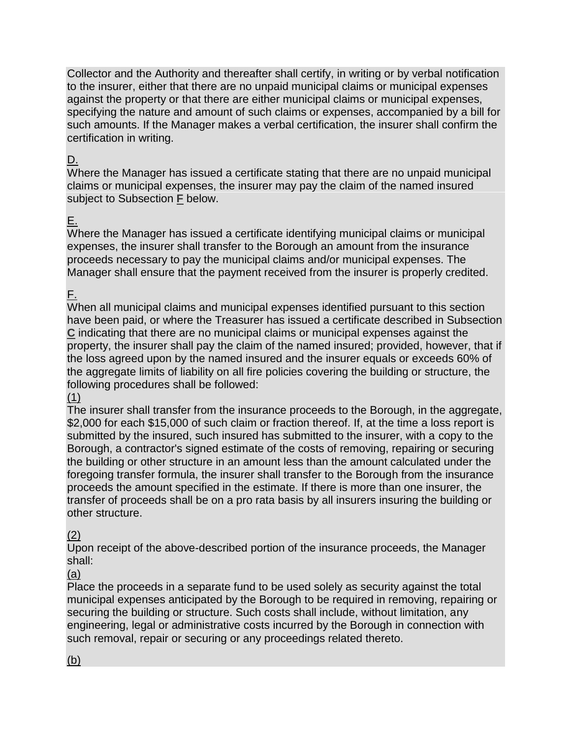Collector and the Authority and thereafter shall certify, in writing or by verbal notification to the insurer, either that there are no unpaid municipal claims or municipal expenses against the property or that there are either municipal claims or municipal expenses, specifying the nature and amount of such claims or expenses, accompanied by a bill for such amounts. If the Manager makes a verbal certification, the insurer shall confirm the certification in writing.

# [D.](http://ecode360.com/15434933#15434933)

Where the Manager has issued a certificate stating that there are no unpaid municipal claims or municipal expenses, the insurer may pay the claim of the named insured subject to Subsection **[F](http://ecode360.com/15434935#15434935)** below.

# [E.](http://ecode360.com/15434934#15434934)

Where the Manager has issued a certificate identifying municipal claims or municipal expenses, the insurer shall transfer to the Borough an amount from the insurance proceeds necessary to pay the municipal claims and/or municipal expenses. The Manager shall ensure that the payment received from the insurer is properly credited.

# [F.](http://ecode360.com/15434935#15434935)

When all municipal claims and municipal expenses identified pursuant to this section have been paid, or where the Treasurer has issued a certificate described in Subsection **[C](http://ecode360.com/15434932#15434932)** indicating that there are no municipal claims or municipal expenses against the property, the insurer shall pay the claim of the named insured; provided, however, that if the loss agreed upon by the named insured and the insurer equals or exceeds 60% of the aggregate limits of liability on all fire policies covering the building or structure, the following procedures shall be followed:

## [\(1\)](http://ecode360.com/15434936#15434936)

The insurer shall transfer from the insurance proceeds to the Borough, in the aggregate, \$2,000 for each \$15,000 of such claim or fraction thereof. If, at the time a loss report is submitted by the insured, such insured has submitted to the insurer, with a copy to the Borough, a contractor's signed estimate of the costs of removing, repairing or securing the building or other structure in an amount less than the amount calculated under the foregoing transfer formula, the insurer shall transfer to the Borough from the insurance proceeds the amount specified in the estimate. If there is more than one insurer, the transfer of proceeds shall be on a pro rata basis by all insurers insuring the building or other structure.

# [\(2\)](http://ecode360.com/15434937#15434937)

Upon receipt of the above-described portion of the insurance proceeds, the Manager shall:

[\(a\)](http://ecode360.com/15434938#15434938) 

Place the proceeds in a separate fund to be used solely as security against the total municipal expenses anticipated by the Borough to be required in removing, repairing or securing the building or structure. Such costs shall include, without limitation, any engineering, legal or administrative costs incurred by the Borough in connection with such removal, repair or securing or any proceedings related thereto.

# [\(b\)](http://ecode360.com/15434939#15434939)